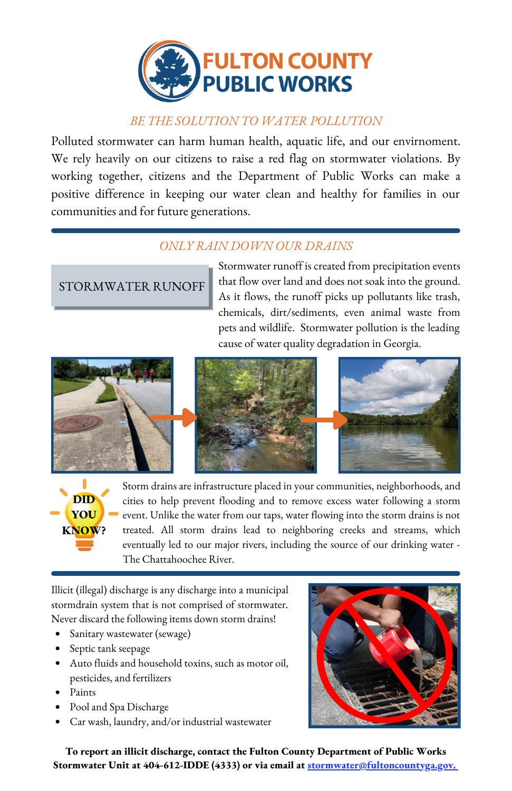

## *BE THE SOLUTION TO WATER POLLUTION*

Polluted stormwater can harm human health, aquatic life, and our envirnoment. We rely heavily on our citizens to raise a red flag on stormwater violations. By working together, citizens and the Department of Public Works can make a positive difference in keeping our water clean and healthy for families in our communities and for future generations.

## *ONLY RAIN DOWN OUR DRAINS*

## STORMWATER RUNOFF

Stormwater runoff is created from precipitation events that flow over land and does not soak into the ground. As it flows, the runoff picks up pollutants like trash, chemicals, dirt/sediments, even animal waste from pets and wildlife. Stormwater pollution is the leading cause of water quality degradation in Georgia.





Storm drains are infrastructure placed in your communities, neighborhoods, and cities to help prevent flooding and to remove excess water following a storm event. Unlike the water from our taps, water flowing into the storm drains is not treated. All storm drains lead to neighboring creeks and streams, which eventually led to our major rivers, including the source of our drinking water - The Chattahoochee River.

Illicit (illegal) discharge is any discharge into a municipal stormdrain system that is not comprised of stormwater. Never discard the following items down storm drains!

- Sanitary wastewater (sewage)
- Septic tank seepage
- Auto fluids and household toxins, such as motor oil, pesticides, and fertilizers
- Paints
- Pool and Spa Discharge
- Car wash, laundry, and/or industrial wastewater



**To report an illicit discharge, contact the Fulton County Department of Public Works Stormwater Unit at 404-612-IDDE (4333) or via email at stormwater@fultoncountyga.gov.**